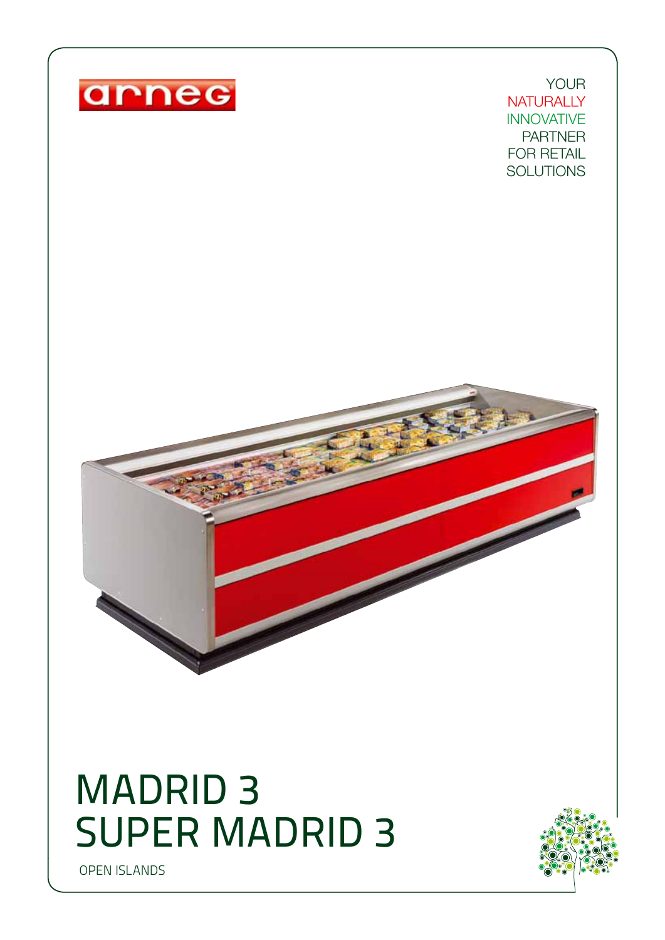

## MADRID 3 SUPER MADRID 3

OPEN ISLANDS